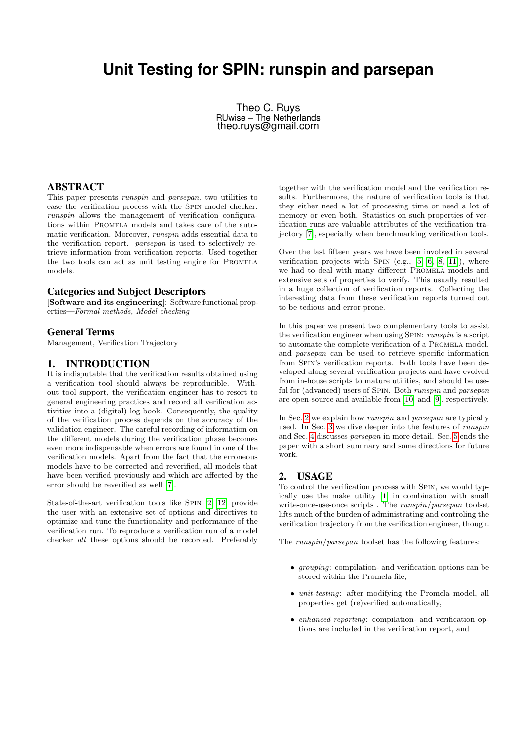# **Unit Testing for SPIN: runspin and parsepan**

Theo C. Ruys RUwise – The Netherlands theo.ruys@gmail.com

## ABSTRACT

This paper presents runspin and parsepan, two utilities to ease the verification process with the Spin model checker. runspin allows the management of verification configurations within Promela models and takes care of the automatic verification. Moreover, runspin adds essential data to the verification report. parsepan is used to selectively retrieve information from verification reports. Used together the two tools can act as unit testing engine for Promela models.

### Categories and Subject Descriptors

[Software and its engineering]: Software functional properties—Formal methods, Model checking

#### General Terms

Management, Verification Trajectory

## 1. INTRODUCTION

It is indisputable that the verification results obtained using a verification tool should always be reproducible. Without tool support, the verification engineer has to resort to general engineering practices and record all verification activities into a (digital) log-book. Consequently, the quality of the verification process depends on the accuracy of the validation engineer. The careful recording of information on the different models during the verification phase becomes even more indispensable when errors are found in one of the verification models. Apart from the fact that the erroneous models have to be corrected and reverified, all models that have been verified previously and which are affected by the error should be reverified as well [\[7\]](#page-3-0).

State-of-the-art verification tools like Spin [\[2,](#page-3-1) [12\]](#page-3-2) provide the user with an extensive set of options and directives to optimize and tune the functionality and performance of the verification run. To reproduce a verification run of a model checker all these options should be recorded. Preferably

together with the verification model and the verification results. Furthermore, the nature of verification tools is that they either need a lot of processing time or need a lot of memory or even both. Statistics on such properties of verification runs are valuable attributes of the verification trajectory [\[7\]](#page-3-0), especially when benchmarking verification tools.

Over the last fifteen years we have been involved in several verification projects with SPIN (e.g.,  $[5, 6, 8, 11]$  $[5, 6, 8, 11]$  $[5, 6, 8, 11]$  $[5, 6, 8, 11]$ ), where we had to deal with many different Promela models and extensive sets of properties to verify. This usually resulted in a huge collection of verification reports. Collecting the interesting data from these verification reports turned out to be tedious and error-prone.

In this paper we present two complementary tools to assist the verification engineer when using SPIN: runspin is a script to automate the complete verification of a PROMELA model, and parsepan can be used to retrieve specific information from Spin's verification reports. Both tools have been developed along several verification projects and have evolved from in-house scripts to mature utilities, and should be useful for (advanced) users of SPIN. Both *runspin* and *parsepan* are open-source and available from [\[10\]](#page-3-7) and [\[9\]](#page-3-8), respectively.

In Sec. [2](#page-0-0) we explain how *runspin* and *parsepan* are typically used. In Sec. [3](#page-1-0) we dive deeper into the features of runspin and Sec. [4](#page-3-9) discusses parsepan in more detail. Sec. [5](#page-3-10) ends the paper with a short summary and some directions for future work.

#### <span id="page-0-0"></span>2. USAGE

To control the verification process with Spin, we would typically use the make utility [\[1\]](#page-3-11) in combination with small write-once-use-once scripts . The runspin/parsepan toolset lifts much of the burden of administrating and controling the verification trajectory from the verification engineer, though.

The runspin/parsepan toolset has the following features:

- grouping: compilation- and verification options can be stored within the Promela file,
- *unit-testing*: after modifying the Promela model, all properties get (re)verified automatically,
- enhanced reporting: compilation- and verification options are included in the verification report, and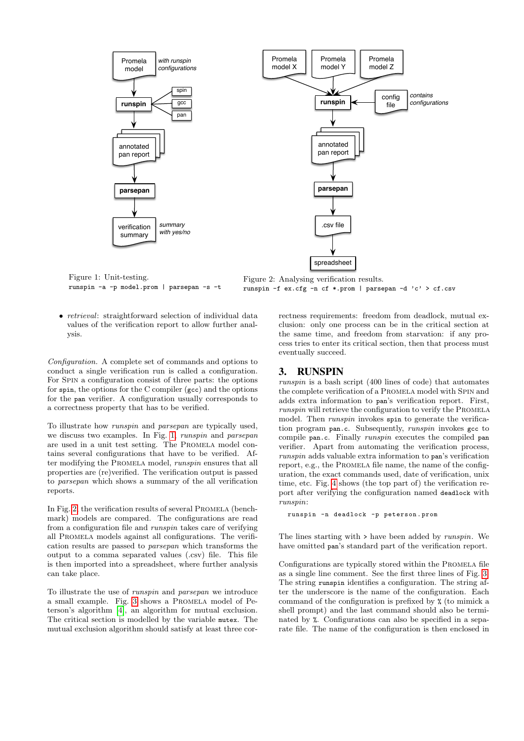<span id="page-1-1"></span>

Figure 1: Unit-testing. runspin -a -p model.prom | parsepan -s -t

Figure 2: Analysing verification results. runspin -f ex.cfg -n cf \*.prom | parsepan -d 'c' > cf.csv

• *retrieval*: straightforward selection of individual data values of the verification report to allow further analysis.

Configuration. A complete set of commands and options to conduct a single verification run is called a configuration. For Spin a configuration consist of three parts: the options for spin, the options for the C compiler (gcc) and the options for the pan verifier. A configuration usually corresponds to a correctness property that has to be verified.

To illustrate how runspin and parsepan are typically used, we discuss two examples. In Fig. [1,](#page-1-1) runspin and parsepan are used in a unit test setting. The PROMELA model contains several configurations that have to be verified. After modifying the PROMELA model, *runspin* ensures that all properties are (re)verified. The verification output is passed to parsepan which shows a summary of the all verification reports.

In Fig. [2,](#page-1-1) the verification results of several PROMELA (benchmark) models are compared. The configurations are read from a configuration file and runspin takes care of verifying all Promela models against all configurations. The verification results are passed to parsepan which transforms the output to a comma separated values (.csv) file. This file is then imported into a spreadsheet, where further analysis can take place.

To illustrate the use of runspin and parsepan we introduce a small example. Fig. [3](#page-2-0) shows a Promela model of Peterson's algorithm [\[4\]](#page-3-12), an algorithm for mutual exclusion. The critical section is modelled by the variable mutex. The mutual exclusion algorithm should satisfy at least three correctness requirements: freedom from deadlock, mutual exclusion: only one process can be in the critical section at the same time, and freedom from starvation: if any process tries to enter its critical section, then that process must eventually succeed.

## <span id="page-1-0"></span>3. RUNSPIN

runspin is a bash script (400 lines of code) that automates the complete verification of a Promela model with Spin and adds extra information to pan's verification report. First, runspin will retrieve the configuration to verify the PROMELA model. Then *runspin* invokes spin to generate the verification program pan.c. Subsequently, runspin invokes gcc to compile pan.c. Finally *runspin* executes the compiled pan verifier. Apart from automating the verification process, runspin adds valuable extra information to pan's verification report, e.g., the Promela file name, the name of the configuration, the exact commands used, date of verification, unix time, etc. Fig. [4](#page-2-1) shows (the top part of) the verification report after verifying the configuration named deadlock with runspin:

runspin -n deadlock -p peterson . prom

The lines starting with > have been added by runspin. We have omitted pan's standard part of the verification report.

Configurations are typically stored within the PROMELA file as a single line comment. See the first three lines of Fig. [3.](#page-2-0) The string runspin identifies a configuration. The string after the underscore is the name of the configuration. Each command of the configuration is prefixed by % (to mimick a shell prompt) and the last command should also be terminated by %. Configurations can also be specified in a separate file. The name of the configuration is then enclosed in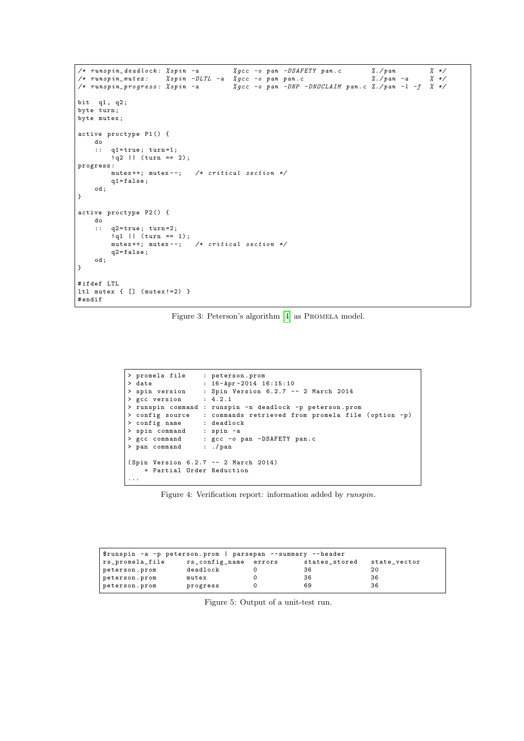```
/* runspin_deadlock: %spin -a         %gcc -o pan -DSAFETY pan.c       %./pan       % */
/* run spin_mute x : % spin - DLTL -a % gcc -o pan pan . c %./ pan -a % */
\frac{1}{2} runspin progress: \frac{1}{2} spin -a \frac{1}{2} \frac{1}{2} \frac{1}{2} \frac{1}{2} \frac{1}{2} \frac{1}{2} \frac{1}{2} \frac{1}{2} \frac{1}{2} \frac{1}{2} \frac{1}{2} \frac{1}{2} \frac{1}{2} \frac{1}{2} \frac{1}{2} \frac{1}{2} \frac{1}{2} \frac{1bit q1 , q2 ;
byte turn;
byte mutex ;
active proctype P1 () {
    do
     :: q1=true; turn=1;
          !q2 || (turn == 2);
progress :
          mutex ++; mutex --; /* critical section */
          {\tt q1 = false} ;
     od ;
}
active proctype P2 () {
    do
     :: q2=true; turn=2;
          ! q1 || (turn == 1);<br>mutex++; mutex--;
                                    /* critical section */q2 = false;od ;
}
# ifdef LTL
ltl mutex { [] ( mutex !=2) }
# endif
```
Figure 3: Peterson's algorithm [\[4\]](#page-3-12) as PROMELA model.

```
> promela file : peterson.prom<br>
> date : 16-Apr-2014 16:15:10
> date : 16 - Apr -2014 16:15:10
> spin version : Spin Version 6.2.7 -- 2 March 2014
> gcc version
> runspin command : runspin -n deadlock -p peterson . prom
> config source : commands retrieved from promela file (option -p)<br>> config name : deadlock
%> config name : deadlock<br>> spin command : spin -a
> spin command
> gcc command : gcc -o pan -DSAFETY pan.c<br>> pan command : ./pan
> pan command
( Spin Version 6.2.7 -- 2 March 2014)
    + Partial Order Reduction
...
```
Figure 4: Verification report: information added by runspin.

<span id="page-2-2"></span>

| \$runspin -a -p peterson.prom   parsepan --summary --header |                       |  |               |              |
|-------------------------------------------------------------|-----------------------|--|---------------|--------------|
| rs_promela_file                                             | rs_config_name errors |  | states_stored | state_vector |
| peterson.prom                                               | deadlock              |  | 36            | 20           |
| peterson.prom                                               | mutex                 |  | 36            | 36           |
| peterson.prom                                               | progress              |  | 69            | 36           |

Figure 5: Output of a unit-test run.